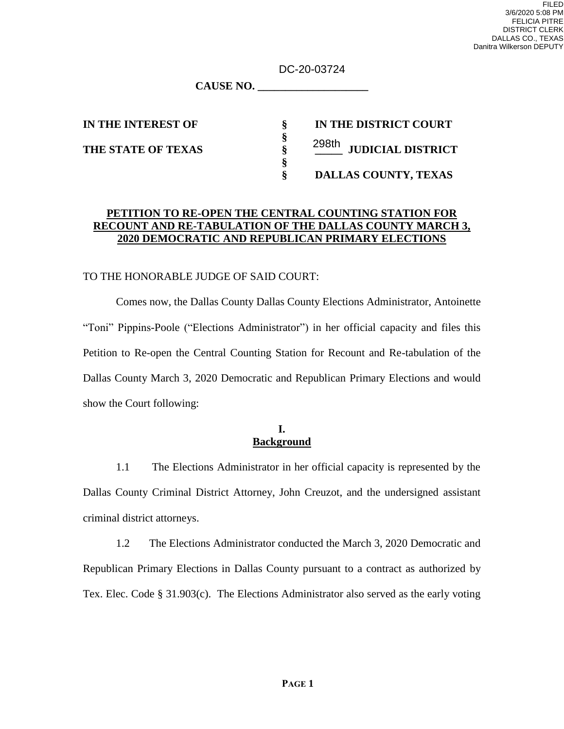DC-20-03724

**CAUSE NO. \_\_\_\_\_\_\_\_\_\_\_\_\_\_\_\_\_\_\_\_**

**IN THE INTEREST OF § IN THE DISTRICT COURT THE STATE OF TEXAS § \_\_\_\_\_ JUDICIAL DISTRICT** 298th**§ DALLAS COUNTY, TEXAS**

### **PETITION TO RE-OPEN THE CENTRAL COUNTING STATION FOR RECOUNT AND RE-TABULATION OF THE DALLAS COUNTY MARCH 3, 2020 DEMOCRATIC AND REPUBLICAN PRIMARY ELECTIONS**

**§**

**§**

#### TO THE HONORABLE JUDGE OF SAID COURT:

Comes now, the Dallas County Dallas County Elections Administrator, Antoinette "Toni" Pippins-Poole ("Elections Administrator") in her official capacity and files this Petition to Re-open the Central Counting Station for Recount and Re-tabulation of the Dallas County March 3, 2020 Democratic and Republican Primary Elections and would show the Court following:

#### **I. Background**

1.1 The Elections Administrator in her official capacity is represented by the Dallas County Criminal District Attorney, John Creuzot, and the undersigned assistant criminal district attorneys.

1.2 The Elections Administrator conducted the March 3, 2020 Democratic and Republican Primary Elections in Dallas County pursuant to a contract as authorized by Tex. Elec. Code § 31.903(c). The Elections Administrator also served as the early voting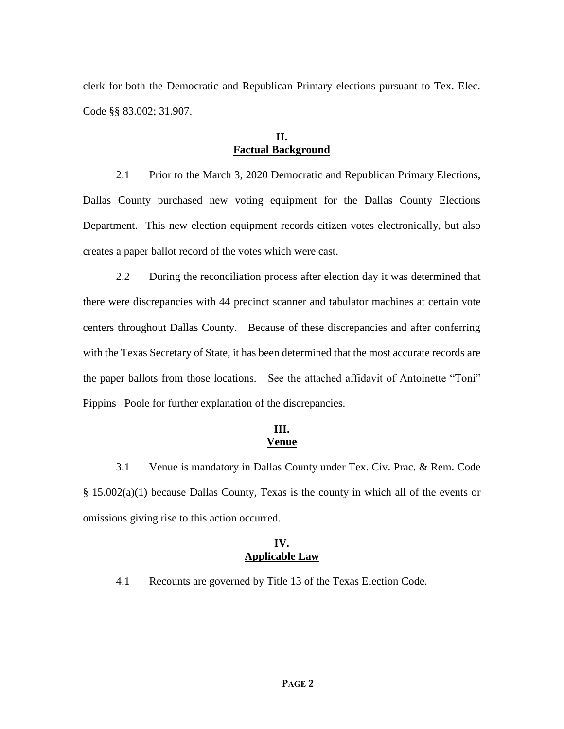clerk for both the Democratic and Republican Primary elections pursuant to Tex. Elec. Code §§ 83.002; 31.907.

#### **II. Factual Background**

2.1 Prior to the March 3, 2020 Democratic and Republican Primary Elections, Dallas County purchased new voting equipment for the Dallas County Elections Department. This new election equipment records citizen votes electronically, but also creates a paper ballot record of the votes which were cast.

2.2 During the reconciliation process after election day it was determined that there were discrepancies with 44 precinct scanner and tabulator machines at certain vote centers throughout Dallas County. Because of these discrepancies and after conferring with the Texas Secretary of State, it has been determined that the most accurate records are the paper ballots from those locations. See the attached affidavit of Antoinette "Toni" Pippins –Poole for further explanation of the discrepancies.

### **III. Venue**

3.1 Venue is mandatory in Dallas County under Tex. Civ. Prac. & Rem. Code § 15.002(a)(1) because Dallas County, Texas is the county in which all of the events or omissions giving rise to this action occurred.

#### **IV. Applicable Law**

4.1 Recounts are governed by Title 13 of the Texas Election Code.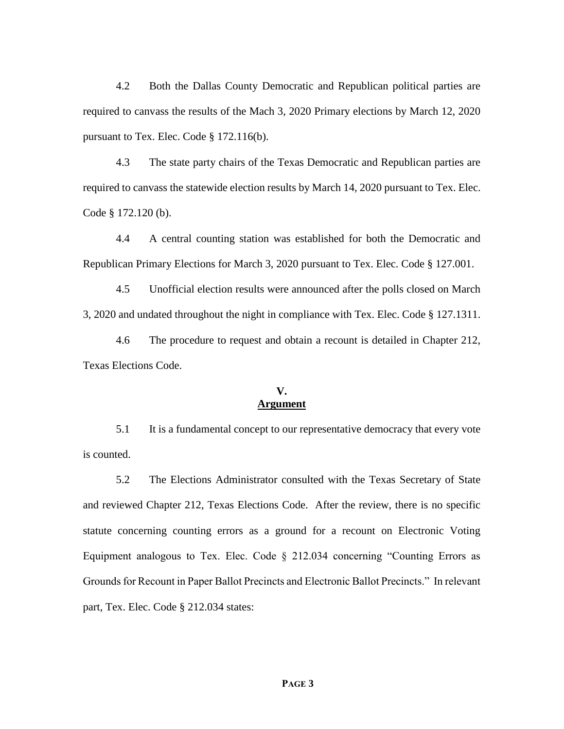4.2 Both the Dallas County Democratic and Republican political parties are required to canvass the results of the Mach 3, 2020 Primary elections by March 12, 2020 pursuant to Tex. Elec. Code § 172.116(b).

4.3 The state party chairs of the Texas Democratic and Republican parties are required to canvass the statewide election results by March 14, 2020 pursuant to Tex. Elec. Code § 172.120 (b).

4.4 A central counting station was established for both the Democratic and Republican Primary Elections for March 3, 2020 pursuant to Tex. Elec. Code § 127.001.

4.5 Unofficial election results were announced after the polls closed on March 3, 2020 and undated throughout the night in compliance with Tex. Elec. Code § 127.1311.

4.6 The procedure to request and obtain a recount is detailed in Chapter 212, Texas Elections Code.

#### **V. Argument**

5.1 It is a fundamental concept to our representative democracy that every vote is counted.

5.2 The Elections Administrator consulted with the Texas Secretary of State and reviewed Chapter 212, Texas Elections Code. After the review, there is no specific statute concerning counting errors as a ground for a recount on Electronic Voting Equipment analogous to Tex. Elec. Code § 212.034 concerning "Counting Errors as Grounds for Recount in Paper Ballot Precincts and Electronic Ballot Precincts." In relevant part, Tex. Elec. Code § 212.034 states: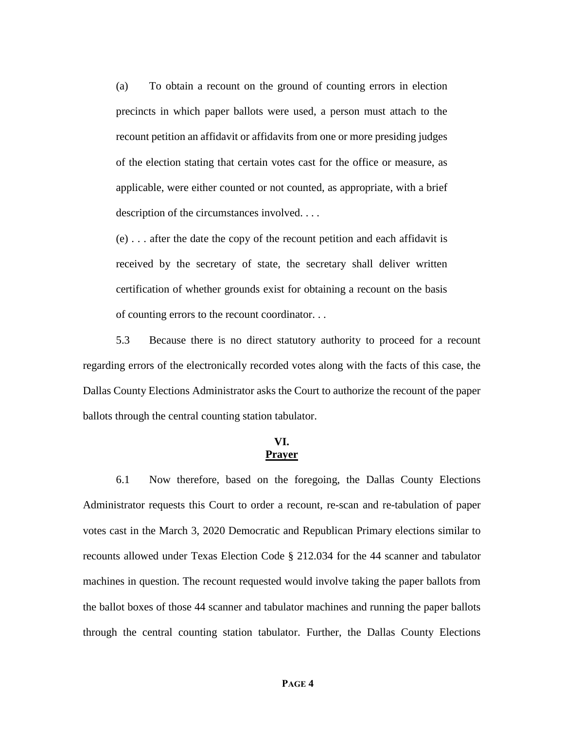(a) To obtain a recount on the ground of counting errors in election precincts in which paper ballots were used, a person must attach to the recount petition an affidavit or affidavits from one or more presiding judges of the election stating that certain votes cast for the office or measure, as applicable, were either counted or not counted, as appropriate, with a brief description of the circumstances involved. . . .

(e) . . . after the date the copy of the recount petition and each affidavit is received by the secretary of state, the secretary shall deliver written certification of whether grounds exist for obtaining a recount on the basis of counting errors to the recount coordinator. . .

5.3 Because there is no direct statutory authority to proceed for a recount regarding errors of the electronically recorded votes along with the facts of this case, the Dallas County Elections Administrator asks the Court to authorize the recount of the paper ballots through the central counting station tabulator.

### **VI. Prayer**

6.1 Now therefore, based on the foregoing, the Dallas County Elections Administrator requests this Court to order a recount, re-scan and re-tabulation of paper votes cast in the March 3, 2020 Democratic and Republican Primary elections similar to recounts allowed under Texas Election Code § 212.034 for the 44 scanner and tabulator machines in question. The recount requested would involve taking the paper ballots from the ballot boxes of those 44 scanner and tabulator machines and running the paper ballots through the central counting station tabulator. Further, the Dallas County Elections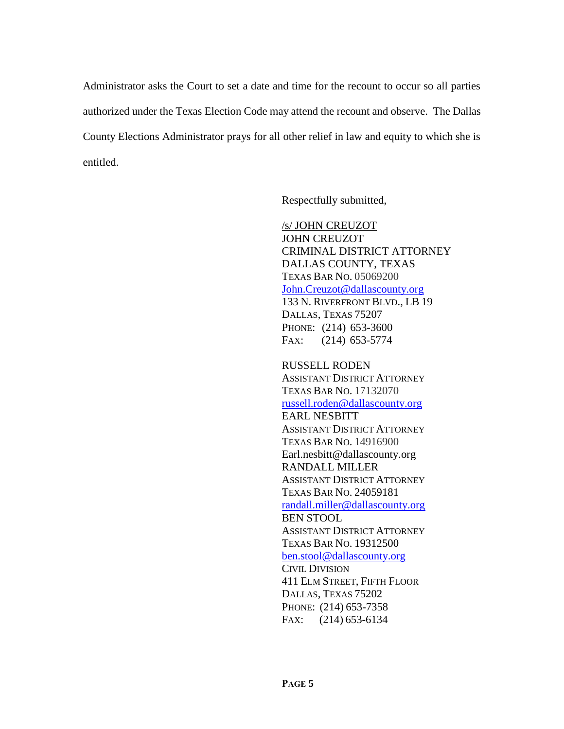Administrator asks the Court to set a date and time for the recount to occur so all parties authorized under the Texas Election Code may attend the recount and observe. The Dallas County Elections Administrator prays for all other relief in law and equity to which she is entitled.

Respectfully submitted,

/s/ JOHN CREUZOT JOHN CREUZOT CRIMINAL DISTRICT ATTORNEY DALLAS COUNTY, TEXAS TEXAS BAR NO. 05069200 [John.Creuzot@dallascounty.org](mailto:John.Creuzot@dallascounty.org) 133 N. RIVERFRONT BLVD., LB 19 DALLAS, TEXAS 75207 PHONE: (214) 653-3600 FAX: (214) 653-5774

RUSSELL RODEN ASSISTANT DISTRICT ATTORNEY TEXAS BAR NO. 17132070 [russell.roden@dallascounty.org](mailto:russell.roden@dallascounty.org) EARL NESBITT ASSISTANT DISTRICT ATTORNEY TEXAS BAR NO. 14916900 Earl.nesbitt@dallascounty.org RANDALL MILLER ASSISTANT DISTRICT ATTORNEY TEXAS BAR NO. 24059181 [randall.miller@dallascounty.org](mailto:randall.miller@dallascounty.org) BEN STOOL ASSISTANT DISTRICT ATTORNEY TEXAS BAR NO. 19312500 [ben.stool@dallascounty.org](mailto:ben.stool@dallascounty.org) CIVIL DIVISION 411 ELM STREET, FIFTH FLOOR DALLAS, TEXAS 75202 PHONE: (214) 653-7358 FAX: (214) 653-6134